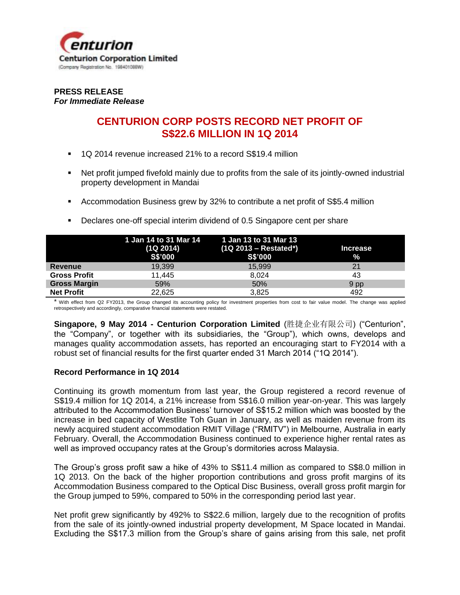

## **PRESS RELEASE** *For Immediate Release*

# **CENTURION CORP POSTS RECORD NET PROFIT OF S\$22.6 MILLION IN 1Q 2014**

- 1Q 2014 revenue increased 21% to a record S\$19.4 million
- Net profit jumped fivefold mainly due to profits from the sale of its jointly-owned industrial property development in Mandai
- Accommodation Business grew by 32% to contribute a net profit of S\$5.4 million

|                     |                | 1 Jan 14 to 31 Mar 14 1 Jan 13 to 31 Mar 13 |                 |
|---------------------|----------------|---------------------------------------------|-----------------|
|                     | (1Q 2014)      | $(1Q 2013 - Restated^*)$                    | <b>Increase</b> |
|                     | <b>S\$'000</b> | <b>S\$'000</b>                              | $\frac{9}{6}$   |
| Revenue             | 19,399         | 15,999                                      | 21              |
| <b>Gross Profit</b> | 11,445         | 8.024                                       | 43              |
| <b>Gross Margin</b> | 59%            | 50%                                         | 9 pp            |
| <b>Net Profit</b>   | 22.625         | 3.825                                       | 492             |

**Declares one-off special interim dividend of 0.5 Singapore cent per share** 

\* With effect from Q2 FY2013, the Group changed its accounting policy for investment properties from cost to fair value model. The change was applied retrospectively and accordingly, comparative financial statements were restated.

**Singapore, 9 May 2014 - Centurion Corporation Limited** (胜捷企业有限公司) ("Centurion", the "Company", or together with its subsidiaries, the "Group"), which owns, develops and manages quality accommodation assets, has reported an encouraging start to FY2014 with a robust set of financial results for the first quarter ended 31 March 2014 ("1Q 2014").

## **Record Performance in 1Q 2014**

Continuing its growth momentum from last year, the Group registered a record revenue of S\$19.4 million for 1Q 2014, a 21% increase from S\$16.0 million year-on-year. This was largely attributed to the Accommodation Business' turnover of S\$15.2 million which was boosted by the increase in bed capacity of Westlite Toh Guan in January, as well as maiden revenue from its newly acquired student accommodation RMIT Village ("RMITV") in Melbourne, Australia in early February. Overall, the Accommodation Business continued to experience higher rental rates as well as improved occupancy rates at the Group's dormitories across Malaysia.

The Group's gross profit saw a hike of 43% to S\$11.4 million as compared to S\$8.0 million in 1Q 2013. On the back of the higher proportion contributions and gross profit margins of its Accommodation Business compared to the Optical Disc Business, overall gross profit margin for the Group jumped to 59%, compared to 50% in the corresponding period last year.

Net profit grew significantly by 492% to S\$22.6 million, largely due to the recognition of profits from the sale of its jointly-owned industrial property development, M Space located in Mandai. Excluding the S\$17.3 million from the Group's share of gains arising from this sale, net profit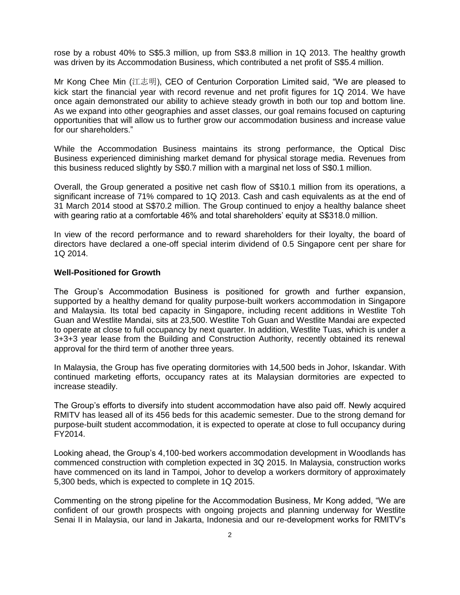rose by a robust 40% to S\$5.3 million, up from S\$3.8 million in 1Q 2013. The healthy growth was driven by its Accommodation Business, which contributed a net profit of S\$5.4 million.

Mr Kong Chee Min (江志明), CEO of Centurion Corporation Limited said, "We are pleased to kick start the financial year with record revenue and net profit figures for 1Q 2014. We have once again demonstrated our ability to achieve steady growth in both our top and bottom line. As we expand into other geographies and asset classes, our goal remains focused on capturing opportunities that will allow us to further grow our accommodation business and increase value for our shareholders."

While the Accommodation Business maintains its strong performance, the Optical Disc Business experienced diminishing market demand for physical storage media. Revenues from this business reduced slightly by S\$0.7 million with a marginal net loss of S\$0.1 million.

Overall, the Group generated a positive net cash flow of S\$10.1 million from its operations, a significant increase of 71% compared to 1Q 2013. Cash and cash equivalents as at the end of 31 March 2014 stood at S\$70.2 million. The Group continued to enjoy a healthy balance sheet with gearing ratio at a comfortable 46% and total shareholders' equity at S\$318.0 million.

In view of the record performance and to reward shareholders for their loyalty, the board of directors have declared a one-off special interim dividend of 0.5 Singapore cent per share for 1Q 2014.

## **Well-Positioned for Growth**

The Group's Accommodation Business is positioned for growth and further expansion, supported by a healthy demand for quality purpose-built workers accommodation in Singapore and Malaysia. Its total bed capacity in Singapore, including recent additions in Westlite Toh Guan and Westlite Mandai, sits at 23,500. Westlite Toh Guan and Westlite Mandai are expected to operate at close to full occupancy by next quarter. In addition, Westlite Tuas, which is under a 3+3+3 year lease from the Building and Construction Authority, recently obtained its renewal approval for the third term of another three years.

In Malaysia, the Group has five operating dormitories with 14,500 beds in Johor, Iskandar. With continued marketing efforts, occupancy rates at its Malaysian dormitories are expected to increase steadily.

The Group's efforts to diversify into student accommodation have also paid off. Newly acquired RMITV has leased all of its 456 beds for this academic semester. Due to the strong demand for purpose-built student accommodation, it is expected to operate at close to full occupancy during FY2014.

Looking ahead, the Group's 4,100-bed workers accommodation development in Woodlands has commenced construction with completion expected in 3Q 2015. In Malaysia, construction works have commenced on its land in Tampoi, Johor to develop a workers dormitory of approximately 5,300 beds, which is expected to complete in 1Q 2015.

Commenting on the strong pipeline for the Accommodation Business, Mr Kong added, "We are confident of our growth prospects with ongoing projects and planning underway for Westlite Senai II in Malaysia, our land in Jakarta, Indonesia and our re-development works for RMITV's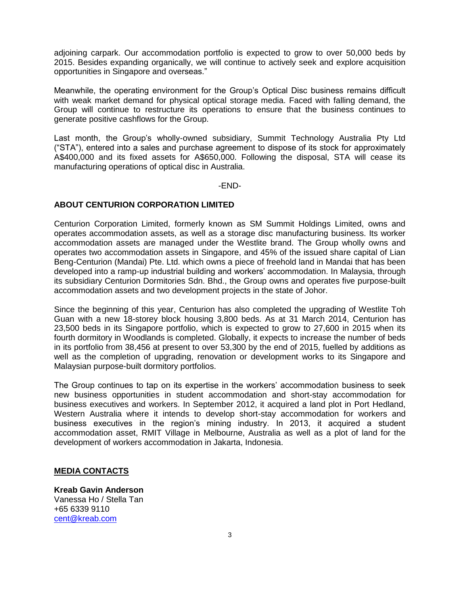adjoining carpark. Our accommodation portfolio is expected to grow to over 50,000 beds by 2015. Besides expanding organically, we will continue to actively seek and explore acquisition opportunities in Singapore and overseas."

Meanwhile, the operating environment for the Group's Optical Disc business remains difficult with weak market demand for physical optical storage media. Faced with falling demand, the Group will continue to restructure its operations to ensure that the business continues to generate positive cashflows for the Group.

Last month, the Group's wholly-owned subsidiary, Summit Technology Australia Pty Ltd ("STA"), entered into a sales and purchase agreement to dispose of its stock for approximately A\$400,000 and its fixed assets for A\$650,000. Following the disposal, STA will cease its manufacturing operations of optical disc in Australia.

#### -END-

## **ABOUT CENTURION CORPORATION LIMITED**

Centurion Corporation Limited, formerly known as SM Summit Holdings Limited, owns and operates accommodation assets, as well as a storage disc manufacturing business. Its worker accommodation assets are managed under the Westlite brand. The Group wholly owns and operates two accommodation assets in Singapore, and 45% of the issued share capital of Lian Beng-Centurion (Mandai) Pte. Ltd. which owns a piece of freehold land in Mandai that has been developed into a ramp-up industrial building and workers' accommodation. In Malaysia, through its subsidiary Centurion Dormitories Sdn. Bhd., the Group owns and operates five purpose-built accommodation assets and two development projects in the state of Johor.

Since the beginning of this year, Centurion has also completed the upgrading of Westlite Toh Guan with a new 18-storey block housing 3,800 beds. As at 31 March 2014, Centurion has 23,500 beds in its Singapore portfolio, which is expected to grow to 27,600 in 2015 when its fourth dormitory in Woodlands is completed. Globally, it expects to increase the number of beds in its portfolio from 38,456 at present to over 53,300 by the end of 2015, fuelled by additions as well as the completion of upgrading, renovation or development works to its Singapore and Malaysian purpose-built dormitory portfolios.

The Group continues to tap on its expertise in the workers' accommodation business to seek new business opportunities in student accommodation and short-stay accommodation for business executives and workers. In September 2012, it acquired a land plot in Port Hedland, Western Australia where it intends to develop short-stay accommodation for workers and business executives in the region's mining industry. In 2013, it acquired a student accommodation asset, RMIT Village in Melbourne, Australia as well as a plot of land for the development of workers accommodation in Jakarta, Indonesia.

## **MEDIA CONTACTS**

**Kreab Gavin Anderson**  Vanessa Ho / Stella Tan +65 6339 9110 [cent@kreab.com](mailto:cent@kreab.com)